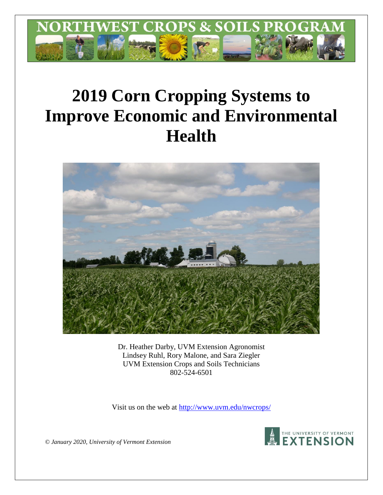

# **2019 Corn Cropping Systems to Improve Economic and Environmental Health**



Dr. Heather Darby, UVM Extension Agronomist Lindsey Ruhl, Rory Malone, and Sara Ziegler UVM Extension Crops and Soils Technicians 802-524-6501

Visit us on the web at [http://www.uvm.edu/nwcrops/](http://www.uvm.edu/nwcrops)



*© January 2020, University of Vermont Extension*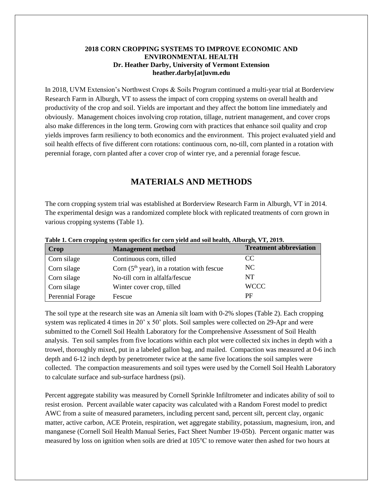# **2018 CORN CROPPING SYSTEMS TO IMPROVE ECONOMIC AND ENVIRONMENTAL HEALTH Dr. Heather Darby, University of Vermont Extension heather.darby[at]uvm.edu**

In 2018, UVM Extension's Northwest Crops & Soils Program continued a multi-year trial at Borderview Research Farm in Alburgh, VT to assess the impact of corn cropping systems on overall health and productivity of the crop and soil. Yields are important and they affect the bottom line immediately and obviously. Management choices involving crop rotation, tillage, nutrient management, and cover crops also make differences in the long term. Growing corn with practices that enhance soil quality and crop yields improves farm resiliency to both economics and the environment. This project evaluated yield and soil health effects of five different corn rotations: continuous corn, no-till, corn planted in a rotation with perennial forage, corn planted after a cover crop of winter rye, and a perennial forage fescue.

# **MATERIALS AND METHODS**

The corn cropping system trial was established at Borderview Research Farm in Alburgh, VT in 2014. The experimental design was a randomized complete block with replicated treatments of corn grown in various cropping systems (Table 1).

| <b>Crop</b>      | <b>Management method</b>                     | <b>Treatment abbreviation</b> |
|------------------|----------------------------------------------|-------------------------------|
| Corn silage      | Continuous corn, tilled                      | CC.                           |
| Corn silage      | Corn $(5th$ year), in a rotation with fescue | NC.                           |
| Corn silage      | No-till corn in alfalfa/fescue               | NT                            |
| Corn silage      | Winter cover crop, tilled                    | <b>WCCC</b>                   |
| Perennial Forage | Fescue                                       | РF                            |

**Table 1. Corn cropping system specifics for corn yield and soil health, Alburgh, VT, 2019.**

The soil type at the research site was an Amenia silt loam with 0-2% slopes (Table 2). Each cropping system was replicated 4 times in 20' x 50' plots. Soil samples were collected on 29-Apr and were submitted to the Cornell Soil Health Laboratory for the Comprehensive Assessment of Soil Health analysis. Ten soil samples from five locations within each plot were collected six inches in depth with a trowel, thoroughly mixed, put in a labeled gallon bag, and mailed. Compaction was measured at 0-6 inch depth and 6-12 inch depth by penetrometer twice at the same five locations the soil samples were collected. The compaction measurements and soil types were used by the Cornell Soil Health Laboratory to calculate surface and sub-surface hardness (psi).

Percent aggregate stability was measured by Cornell Sprinkle Infiltrometer and indicates ability of soil to resist erosion. Percent available water capacity was calculated with a Random Forest model to predict AWC from a suite of measured parameters, including percent sand, percent silt, percent clay, organic matter, active carbon, ACE Protein, respiration, wet aggregate stability, potassium, magnesium, iron, and manganese (Cornell Soil Health Manual Series, Fact Sheet Number 19-05b). Percent organic matter was measured by loss on ignition when soils are dried at 105℃ to remove water then ashed for two hours at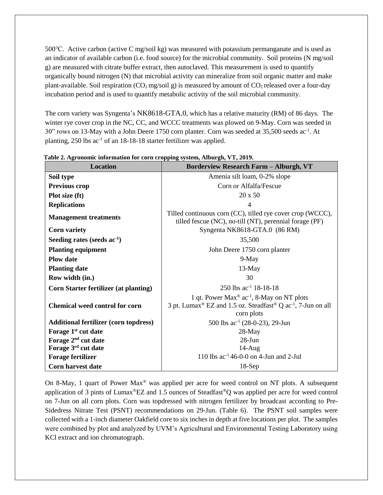500℃. Active carbon (active C mg/soil kg) was measured with potassium permanganate and is used as an indicator of available carbon (i.e. food source) for the microbial community. Soil proteins (N mg/soil g) are measured with citrate buffer extract, then autoclaved. This measurement is used to quantify organically bound nitrogen (N) that microbial activity can mineralize from soil organic matter and make plant-available. Soil respiration ( $CO<sub>2</sub>$  mg/soil g) is measured by amount of  $CO<sub>2</sub>$  released over a four-day incubation period and is used to quantify metabolic activity of the soil microbial community.

The corn variety was Syngenta's NK8618-GTA.0, which has a relative maturity (RM) of 86 days. The winter rye cover crop in the NC, CC, and WCCC treatments was plowed on 9-May. Corn was seeded in 30" rows on 13-May with a John Deere 1750 corn planter. Corn was seeded at 35,500 seeds ac<sup>-1</sup>. At planting, 250 lbs ac<sup>-1</sup> of an 18-18-18 starter fertilizer was applied.

| <b>Location</b>                              | <b>Borderview Research Farm - Alburgh, VT</b>                                                                                                                                       |  |  |
|----------------------------------------------|-------------------------------------------------------------------------------------------------------------------------------------------------------------------------------------|--|--|
| Soil type                                    | Amenia silt loam, 0-2% slope                                                                                                                                                        |  |  |
| <b>Previous crop</b>                         | Corn or Alfalfa/Fescue                                                                                                                                                              |  |  |
| Plot size (ft)                               | 20 x 50                                                                                                                                                                             |  |  |
| <b>Replications</b>                          | 4                                                                                                                                                                                   |  |  |
| <b>Management treatments</b>                 | Tilled continuous corn (CC), tilled rye cover crop (WCCC),<br>tilled fescue (NC), no-till (NT), perennial forage (PF)                                                               |  |  |
| <b>Corn variety</b>                          | Syngenta NK8618-GTA.0 (86 RM)                                                                                                                                                       |  |  |
| Seeding rates (seeds $ac^{-1}$ )             | 35,500                                                                                                                                                                              |  |  |
| <b>Planting equipment</b>                    | John Deere 1750 corn planter                                                                                                                                                        |  |  |
| <b>Plow</b> date                             | $9-May$                                                                                                                                                                             |  |  |
| <b>Planting date</b>                         | 13-May                                                                                                                                                                              |  |  |
| Row width (in.)                              | 30                                                                                                                                                                                  |  |  |
| <b>Corn Starter fertilizer (at planting)</b> | 250 lbs $ac^{-1}$ 18-18-18                                                                                                                                                          |  |  |
| <b>Chemical weed control for corn</b>        | 1 qt. Power Max <sup>®</sup> ac <sup>-1</sup> , 8-May on NT plots<br>3 pt. Lumax <sup>®</sup> EZ and 1.5 oz. Steadfast <sup>®</sup> Q ac <sup>-1</sup> , 7-Jun on all<br>corn plots |  |  |
| <b>Additional fertilizer (corn topdress)</b> | 500 lbs $ac^{-1}$ (28-0-23), 29-Jun                                                                                                                                                 |  |  |
| Forage 1 <sup>st</sup> cut date              | $28$ -May                                                                                                                                                                           |  |  |
| Forage 2 <sup>nd</sup> cut date              | 28-Jun                                                                                                                                                                              |  |  |
| Forage 3rd cut date                          | $14-Aug$                                                                                                                                                                            |  |  |
| <b>Forage fertilizer</b>                     | 110 lbs $ac^{-1}$ 46-0-0 on 4-Jun and 2-Jul                                                                                                                                         |  |  |
| Corn harvest date                            | $18-Sep$                                                                                                                                                                            |  |  |

**Table 2. Agronomic information for corn cropping system, Alburgh, VT, 2019.**

On 8-May, 1 quart of Power Max<sup>®</sup> was applied per acre for weed control on NT plots. A subsequent application of 3 pints of Lumax®EZ and 1.5 ounces of Steadfast®Q was applied per acre for weed control on 7-Jun on all corn plots. Corn was topdressed with nitrogen fertilizer by broadcast according to Pre-Sidedress Nitrate Test (PSNT) recommendations on 29-Jun. (Table 6). The PSNT soil samples were collected with a 1-inch diameter Oakfield core to six inches in depth at five locations per plot. The samples were combined by plot and analyzed by UVM's Agricultural and Environmental Testing Laboratory using KCl extract and ion chromatograph.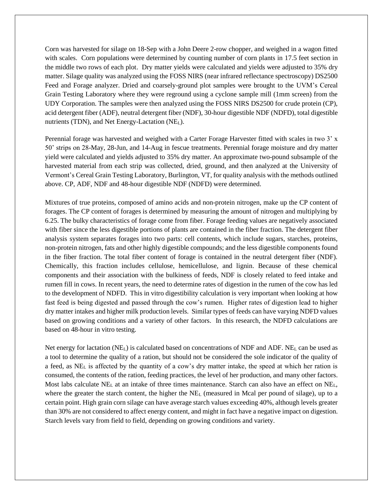Corn was harvested for silage on 18-Sep with a John Deere 2-row chopper, and weighed in a wagon fitted with scales. Corn populations were determined by counting number of corn plants in 17.5 feet section in the middle two rows of each plot. Dry matter yields were calculated and yields were adjusted to 35% dry matter. Silage quality was analyzed using the FOSS NIRS (near infrared reflectance spectroscopy) DS2500 Feed and Forage analyzer. Dried and coarsely-ground plot samples were brought to the UVM's Cereal Grain Testing Laboratory where they were reground using a cyclone sample mill (1mm screen) from the UDY Corporation. The samples were then analyzed using the FOSS NIRS DS2500 for crude protein (CP), acid detergent fiber (ADF), neutral detergent fiber (NDF), 30-hour digestible NDF (NDFD), total digestible nutrients (TDN), and Net Energy-Lactation (NEL).

Perennial forage was harvested and weighed with a Carter Forage Harvester fitted with scales in two 3' x 50' strips on 28-May, 28-Jun, and 14-Aug in fescue treatments. Perennial forage moisture and dry matter yield were calculated and yields adjusted to 35% dry matter. An approximate two-pound subsample of the harvested material from each strip was collected, dried, ground, and then analyzed at the University of Vermont's Cereal Grain Testing Laboratory, Burlington, VT, for quality analysis with the methods outlined above. CP, ADF, NDF and 48-hour digestible NDF (NDFD) were determined.

Mixtures of true proteins, composed of amino acids and non-protein nitrogen, make up the CP content of forages. The CP content of forages is determined by measuring the amount of nitrogen and multiplying by 6.25. The bulky characteristics of forage come from fiber. Forage feeding values are negatively associated with fiber since the less digestible portions of plants are contained in the fiber fraction. The detergent fiber analysis system separates forages into two parts: cell contents, which include sugars, starches, proteins, non-protein nitrogen, fats and other highly digestible compounds; and the less digestible components found in the fiber fraction. The total fiber content of forage is contained in the neutral detergent fiber (NDF). Chemically, this fraction includes cellulose, hemicellulose, and lignin. Because of these chemical components and their association with the bulkiness of feeds, NDF is closely related to feed intake and rumen fill in cows. In recent years, the need to determine rates of digestion in the rumen of the cow has led to the development of NDFD. This in vitro digestibility calculation is very important when looking at how fast feed is being digested and passed through the cow's rumen. Higher rates of digestion lead to higher dry matter intakes and higher milk production levels. Similar types of feeds can have varying NDFD values based on growing conditions and a variety of other factors. In this research, the NDFD calculations are based on 48-hour in vitro testing.

Net energy for lactation (NEL) is calculated based on concentrations of NDF and ADF. NE<sup>L</sup> can be used as a tool to determine the quality of a ration, but should not be considered the sole indicator of the quality of a feed, as NE<sup>L</sup> is affected by the quantity of a cow's dry matter intake, the speed at which her ration is consumed, the contents of the ration, feeding practices, the level of her production, and many other factors. Most labs calculate NE<sup>L</sup> at an intake of three times maintenance. Starch can also have an effect on NEL, where the greater the starch content, the higher the  $NE<sub>L</sub>$  (measured in Mcal per pound of silage), up to a certain point. High grain corn silage can have average starch values exceeding 40%, although levels greater than 30% are not considered to affect energy content, and might in fact have a negative impact on digestion. Starch levels vary from field to field, depending on growing conditions and variety.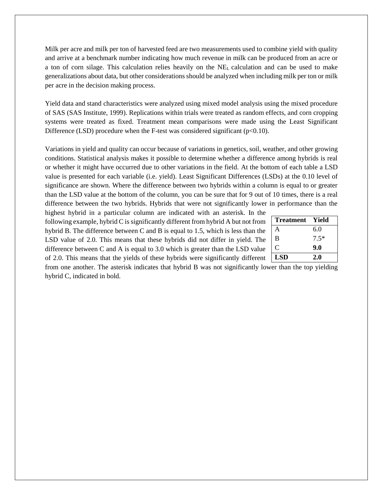Milk per acre and milk per ton of harvested feed are two measurements used to combine yield with quality and arrive at a benchmark number indicating how much revenue in milk can be produced from an acre or a ton of corn silage. This calculation relies heavily on the  $NE<sub>L</sub>$  calculation and can be used to make generalizations about data, but other considerations should be analyzed when including milk per ton or milk per acre in the decision making process.

Yield data and stand characteristics were analyzed using mixed model analysis using the mixed procedure of SAS (SAS Institute, 1999). Replications within trials were treated as random effects, and corn cropping systems were treated as fixed. Treatment mean comparisons were made using the Least Significant Difference (LSD) procedure when the F-test was considered significant ( $p<0.10$ ).

Variations in yield and quality can occur because of variations in genetics, soil, weather, and other growing conditions. Statistical analysis makes it possible to determine whether a difference among hybrids is real or whether it might have occurred due to other variations in the field. At the bottom of each table a LSD value is presented for each variable (i.e. yield). Least Significant Differences (LSDs) at the 0.10 level of significance are shown. Where the difference between two hybrids within a column is equal to or greater than the LSD value at the bottom of the column, you can be sure that for 9 out of 10 times, there is a real difference between the two hybrids. Hybrids that were not significantly lower in performance than the

highest hybrid in a particular column are indicated with an asterisk. In the following example, hybrid C is significantly different from hybrid A but not from hybrid B. The difference between C and B is equal to 1.5, which is less than the LSD value of 2.0. This means that these hybrids did not differ in yield. The difference between C and A is equal to 3.0 which is greater than the LSD value of 2.0. This means that the yields of these hybrids were significantly different

| <b>Treatment</b> | Yield  |
|------------------|--------|
| A                | 6.0    |
| B                | $7.5*$ |
| C                | 9.0    |
| <b>LSD</b>       | 2.0    |

from one another. The asterisk indicates that hybrid B was not significantly lower than the top yielding hybrid C, indicated in bold.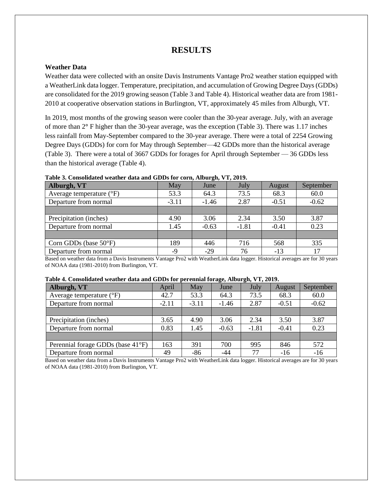# **RESULTS**

## **Weather Data**

Weather data were collected with an onsite Davis Instruments Vantage Pro2 weather station equipped with a WeatherLink data logger. Temperature, precipitation, and accumulation of Growing Degree Days (GDDs) are consolidated for the 2019 growing season (Table 3 and Table 4). Historical weather data are from 1981- 2010 at cooperative observation stations in Burlington, VT, approximately 45 miles from Alburgh, VT.

In 2019, most months of the growing season were cooler than the 30-year average. July, with an average of more than 2**°** F higher than the 30-year average, was the exception (Table 3). There was 1.17 inches less rainfall from May-September compared to the 30-year average. There were a total of 2254 Growing Degree Days (GDDs) for corn for May through September—42 GDDs more than the historical average (Table 3). There were a total of 3667 GDDs for forages for April through September — 36 GDDs less than the historical average (Table 4).

| Alburgh, VT                       | May     | June    | July    | August  | September |
|-----------------------------------|---------|---------|---------|---------|-----------|
| Average temperature $(^{\circ}F)$ | 53.3    | 64.3    | 73.5    | 68.3    | 60.0      |
| Departure from normal             | $-3.11$ | $-1.46$ | 2.87    | $-0.51$ | $-0.62$   |
|                                   |         |         |         |         |           |
| Precipitation (inches)            | 4.90    | 3.06    | 2.34    | 3.50    | 3.87      |
| Departure from normal             | 1.45    | $-0.63$ | $-1.81$ | $-0.41$ | 0.23      |
|                                   |         |         |         |         |           |
| Corn GDDs (base $50^{\circ}$ F)   | 189     | 446     | 716     | 568     | 335       |
| Departure from normal             | -9      | $-29$   | 76      | $-13$   | 17        |

#### **Table 3. Consolidated weather data and GDDs for corn, Alburgh, VT, 2019.**

Based on weather data from a Davis Instruments Vantage Pro2 with WeatherLink data logger. Historical averages are for 30 years of NOAA data (1981-2010) from Burlington, VT.

#### **Table 4. Consolidated weather data and GDDs for perennial forage, Alburgh, VT, 2019.**

| Alburgh, VT                       | April   | May     | June    | July    | August  | September |
|-----------------------------------|---------|---------|---------|---------|---------|-----------|
| Average temperature $(^{\circ}F)$ | 42.7    | 53.3    | 64.3    | 73.5    | 68.3    | 60.0      |
| Departure from normal             | $-2.11$ | $-3.11$ | $-1.46$ | 2.87    | $-0.51$ | $-0.62$   |
|                                   |         |         |         |         |         |           |
| Precipitation (inches)            | 3.65    | 4.90    | 3.06    | 2.34    | 3.50    | 3.87      |
| Departure from normal             | 0.83    | 1.45    | $-0.63$ | $-1.81$ | $-0.41$ | 0.23      |
|                                   |         |         |         |         |         |           |
| Perennial forage GDDs (base 41°F) | 163     | 391     | 700     | 995     | 846     | 572       |
| Departure from normal             | 49      | $-86$   | $-44$   | 77      | $-16$   | $-16$     |

Based on weather data from a Davis Instruments Vantage Pro2 with WeatherLink data logger. Historical averages are for 30 years of NOAA data (1981-2010) from Burlington, VT.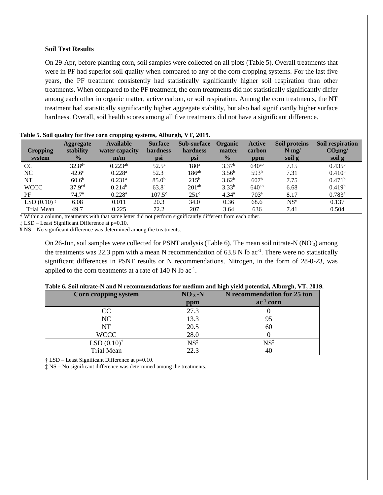### **Soil Test Results**

On 29-Apr, before planting corn, soil samples were collected on all plots (Table 5). Overall treatments that were in PF had superior soil quality when compared to any of the corn cropping systems. For the last five years, the PF treatment consistently had statistically significantly higher soil respiration than other treatments. When compared to the PF treatment, the corn treatments did not statistically significantly differ among each other in organic matter, active carbon, or soil respiration. Among the corn treatments, the NT treatment had statistically significantly higher aggregate stability, but also had significantly higher surface hardness. Overall, soil health scores among all five treatments did not have a significant difference.

| <b>Cropping</b><br>system                     | <b>Aggregate</b><br>stability<br>$\frac{9}{6}$ | <b>Available</b><br>water capacity<br>m/m | <b>Surface</b><br>hardness<br>psi | Sub-surface<br>hardness<br>psi | Organic<br>matter<br>$\frac{0}{0}$ | <b>Active</b><br>carbon<br>ppm | Soil proteins<br>$N$ mg/<br>soil g | Soil respiration<br>$CO2$ mg/<br>soil g |
|-----------------------------------------------|------------------------------------------------|-------------------------------------------|-----------------------------------|--------------------------------|------------------------------------|--------------------------------|------------------------------------|-----------------------------------------|
| CC                                            | $32.8^{d\dagger}$                              | $0.223^{ab}$                              | $52.5^{\rm a}$                    | 180 <sup>a</sup>               | 3.37 <sup>b</sup>                  | $640^{ab}$                     | 7.15                               | $0.435^{b}$                             |
| NC                                            | $42.6^\circ$                                   | $0.228$ <sup>a</sup>                      | $52.3^{\circ}$                    | $186^{ab}$                     | $3.56^{b}$                         | 593 <sup>b</sup>               | 7.31                               | 0.410 <sup>b</sup>                      |
| NT                                            | 60.6 <sup>b</sup>                              | $0.231$ <sup>a</sup>                      | 85.0 <sup>b</sup>                 | $215^{b}$                      | 3.62 <sup>b</sup>                  | 607 <sup>b</sup>               | 7.75                               | 0.471 <sup>b</sup>                      |
| <b>WCCC</b>                                   | 37.9 <sup>cd</sup>                             | $0.214^b$                                 | $63.8^{a}$                        | 201 <sup>ab</sup>              | $3.33^{b}$                         | $640^{ab}$                     | 6.68                               | 0.419 <sup>b</sup>                      |
| PF                                            | 74.7 <sup>a</sup>                              | $0.228$ <sup>a</sup>                      | $107.5^{\circ}$                   | $251^{\circ}$                  | 4.34 <sup>a</sup>                  | 703 <sup>a</sup>               | 8.17                               | $0.783^{a}$                             |
| LSD $(0.10)$ <sup><math>\ddagger</math></sup> | 6.08                                           | 0.011                                     | 20.3                              | 34.0                           | 0.36                               | 68.6                           | NS <sup>F</sup>                    | 0.137                                   |
| Trial Mean                                    | 49.7                                           | 0.225                                     | 72.2                              | 207                            | 3.64                               | 636                            | 7.41                               | 0.504                                   |

## **Table 5. Soil quality for five corn cropping systems, Alburgh, VT, 2019.**

† Within a column, treatments with that same letter did not perform significantly different from each other.

‡ LSD – Least Significant Difference at p=0.10.

¥ NS – No significant difference was determined among the treatments.

On 26-Jun, soil samples were collected for PSNT analysis (Table 6). The mean soil nitrate-N (NO<sub>3</sub>) among the treatments was 22.3 ppm with a mean N recommendation of  $63.8$  N lb ac<sup>-1</sup>. There were no statistically significant differences in PSNT results or N recommendations. Nitrogen, in the form of 28-0-23, was applied to the corn treatments at a rate of  $140 \text{ N}$  lb ac<sup>-1</sup>.

| Corn cropping system  | $NO3 - N$       | N recommendation for 25 ton |
|-----------------------|-----------------|-----------------------------|
|                       | ppm             | $ac-1$ corn                 |
| <sub>CC</sub>         | 27.3            |                             |
| NC                    | 13.3            | 95                          |
| <b>NT</b>             | 20.5            | 60                          |
| <b>WCCC</b>           | 28.0            |                             |
| $LSD(0.10)^{\dagger}$ | $NS^{\ddagger}$ | $\mathrm{NS}^\ddag$         |
| <b>Trial Mean</b>     | 22.3            | 40                          |

## **Table 6. Soil nitrate-N and N recommendations for medium and high yield potential, Alburgh, VT, 2019.**

† LSD – Least Significant Difference at p=0.10.

‡ NS – No significant difference was determined among the treatments.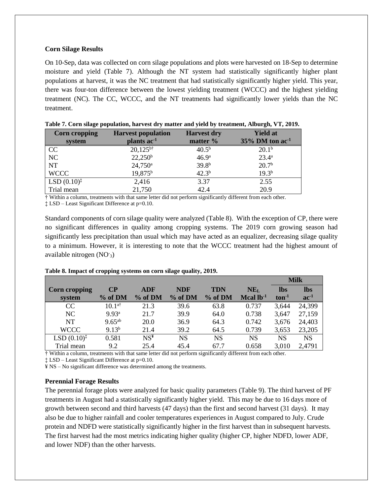## **Corn Silage Results**

On 10-Sep, data was collected on corn silage populations and plots were harvested on 18-Sep to determine moisture and yield (Table 7). Although the NT system had statistically significantly higher plant populations at harvest, it was the NC treatment that had statistically significantly higher yield. This year, there was four-ton difference between the lowest yielding treatment (WCCC) and the highest yielding treatment (NC). The CC, WCCC, and the NT treatments had significantly lower yields than the NC treatment.

| <b>Corn cropping</b>    | <b>Harvest population</b> |                   | <b>Yield at</b>                |
|-------------------------|---------------------------|-------------------|--------------------------------|
| system                  | plants ac <sup>-1</sup>   | matter %          | $35\%$ DM ton ac <sup>-1</sup> |
| CC                      | $20,125^{b\dagger}$       | $40.5^{b}$        | $20.1^{\rm b}$                 |
| NC                      | $22,250^b$                | 46.9 <sup>a</sup> | $23.4^{\circ}$                 |
| <b>NT</b>               | $24,750^{\circ}$          | 39.8 <sup>b</sup> | 20.7 <sup>b</sup>              |
| <b>WCCC</b>             | 19,875 <sup>b</sup>       | $42.3^{b}$        | $19.3^{b}$                     |
| $LSD (0.10)^{\ddagger}$ | 2,416                     | 3.37              | 2.55                           |
| Trial mean              | 21,750                    | 42.4              | 20.9                           |

|  |  |  |  | Table 7. Corn silage population, harvest dry matter and yield by treatment, Alburgh, VT, 2019. |
|--|--|--|--|------------------------------------------------------------------------------------------------|
|--|--|--|--|------------------------------------------------------------------------------------------------|

† Within a column, treatments with that same letter did not perform significantly different from each other.

‡ LSD – Least Significant Difference at p=0.10.

Standard components of corn silage quality were analyzed (Table 8). With the exception of CP, there were no significant differences in quality among cropping systems. The 2019 corn growing season had significantly less precipitation than usual which may have acted as an equalizer, decreasing silage quality to a minimum. However, it is interesting to note that the WCCC treatment had the highest amount of available nitrogen (NO-3)

|                         |                   |                 |            |            |                 |            | <b>Milk</b> |
|-------------------------|-------------------|-----------------|------------|------------|-----------------|------------|-------------|
| Corn cropping           | <b>CP</b>         | <b>ADF</b>      | <b>NDF</b> | <b>TDN</b> | NE <sub>L</sub> | <b>lbs</b> | <b>lbs</b>  |
| system                  | $%$ of DM         | % of DM         | % of DM    | % of DM    | Mcal $lb-1$     | $ton-1$    | $ac^{-1}$   |
| CC                      | $10.1^{a\dagger}$ | 21.3            | 39.6       | 63.8       | 0.737           | 3,644      | 24,399      |
| NC                      | 9.93 <sup>a</sup> | 21.7            | 39.9       | 64.0       | 0.738           | 3,647      | 27,159      |
| NT                      | $9.65^{ab}$       | 20.0            | 36.9       | 64.3       | 0.742           | 3,676      | 24,403      |
| <b>WCCC</b>             | $9.13^{b}$        | 21.4            | 39.2       | 64.5       | 0.739           | 3,653      | 23,205      |
| LSD (0.10) <sup>†</sup> | 0.581             | NS <sup>F</sup> | <b>NS</b>  | <b>NS</b>  | <b>NS</b>       | <b>NS</b>  | <b>NS</b>   |
| Trial mean              | 9.2               | 25.4            | 45.4       | 67.7       | 0.658           | 3,010      | 2,4791      |

**Table 8. Impact of cropping systems on corn silage quality, 2019.**

† Within a column, treatments with that same letter did not perform significantly different from each other.

‡ LSD – Least Significant Difference at p=0.10.

¥ NS – No significant difference was determined among the treatments.

# **Perennial Forage Results**

The perennial forage plots were analyzed for basic quality parameters (Table 9). The third harvest of PF treatments in August had a statistically significantly higher yield. This may be due to 16 days more of growth between second and third harvests (47 days) than the first and second harvest (31 days). It may also be due to higher rainfall and cooler temperatures experiences in August compared to July. Crude protein and NDFD were statistically significantly higher in the first harvest than in subsequent harvests. The first harvest had the most metrics indicating higher quality (higher CP, higher NDFD, lower ADF, and lower NDF) than the other harvests.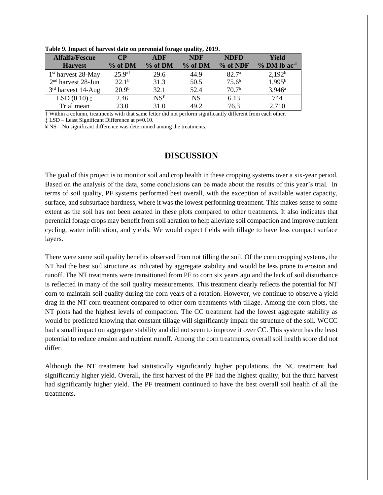| $\sim$ while $\sim$ . The paper of the state where our performance correspondence $\sim$ $\sim$ $\sim$ $\sim$ |                   |         |            |                   |                            |  |  |  |
|---------------------------------------------------------------------------------------------------------------|-------------------|---------|------------|-------------------|----------------------------|--|--|--|
| <b>Alfalfa/Fescue</b>                                                                                         | $\bf CP$          | ADF     | <b>NDF</b> | <b>NDFD</b>       | Yield                      |  |  |  |
| <b>Harvest</b>                                                                                                | % of DM           | % of DM | % of DM    | % of NDF          | $%$ DM lb ac <sup>-1</sup> |  |  |  |
| 1 <sup>st</sup> harvest 28-May                                                                                | $25.9^{a\dagger}$ | 29.6    | 44.9       | 82.7 <sup>a</sup> | $2,192^b$                  |  |  |  |
| $2nd$ harvest 28-Jun                                                                                          | 22.1 <sup>b</sup> | 31.3    | 50.5       | $75.6^b$          | $1,995^{\rm b}$            |  |  |  |
| $3rd$ harvest 14-Aug                                                                                          | 20.9 <sup>b</sup> | 32.1    | 52.4       | 70.7 <sup>b</sup> | $3,946^{\circ}$            |  |  |  |
| $LSD(0.10)$ $\ddagger$                                                                                        | 2.46              | $NS^y$  | <b>NS</b>  | 6.13              | 744                        |  |  |  |
| Trial mean                                                                                                    | 23.0              | 31.0    | 49.2       | 76.3              | 2,710                      |  |  |  |

**Table 9. Impact of harvest date on perennial forage quality, 2019.**

† Within a column, treatments with that same letter did not perform significantly different from each other.

‡ LSD – Least Significant Difference at p=0.10.

¥ NS – No significant difference was determined among the treatments.

# **DISCUSSION**

The goal of this project is to monitor soil and crop health in these cropping systems over a six-year period. Based on the analysis of the data, some conclusions can be made about the results of this year's trial. In terms of soil quality, PF systems performed best overall, with the exception of available water capacity, surface, and subsurface hardness, where it was the lowest performing treatment. This makes sense to some extent as the soil has not been aerated in these plots compared to other treatments. It also indicates that perennial forage crops may benefit from soil aeration to help alleviate soil compaction and improve nutrient cycling, water infiltration, and yields. We would expect fields with tillage to have less compact surface layers.

There were some soil quality benefits observed from not tilling the soil. Of the corn cropping systems, the NT had the best soil structure as indicated by aggregate stability and would be less prone to erosion and runoff. The NT treatments were transitioned from PF to corn six years ago and the lack of soil disturbance is reflected in many of the soil quality measurements. This treatment clearly reflects the potential for NT corn to maintain soil quality during the corn years of a rotation. However, we continue to observe a yield drag in the NT corn treatment compared to other corn treatments with tillage. Among the corn plots, the NT plots had the highest levels of compaction. The CC treatment had the lowest aggregate stability as would be predicted knowing that constant tillage will significantly impair the structure of the soil. WCCC had a small impact on aggregate stability and did not seem to improve it over CC. This system has the least potential to reduce erosion and nutrient runoff. Among the corn treatments, overall soil health score did not differ.

Although the NT treatment had statistically significantly higher populations, the NC treatment had significantly higher yield. Overall, the first harvest of the PF had the highest quality, but the third harvest had significantly higher yield. The PF treatment continued to have the best overall soil health of all the treatments.